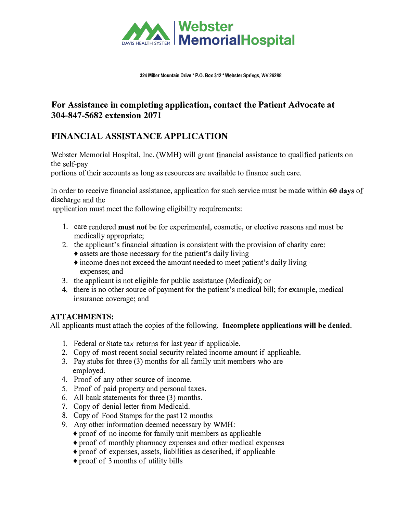

#### **324 Miller Mountain Drive\* P.O. Box 312 \* Webster Springs, WV 26288**

# **For Assistance in completing application, contact the Patient Advocate at 304-847-5682 extension 2071**

# **FINANCIAL ASSISTANCE APPLICATION**

Webster Memorial Hospital, Inc. (WMH) will grant financial assistance to qualified patients on the self-pay

portions of their accounts as long as resources are available to finance such care.

In order to receive financial assistance, application for such service must be made within **60 days** of discharge and the

application must meet the following eligibility requirements:

- 1. care rendered **must not** be for experimental, cosmetic, or elective reasons and must be medically appropriate;
- 2. the applicant's financial situation is consistent with the provision of charity care:
	- **♦** assets are those necessary for the patient's daily living
	- **♦** income does not exceed the amount needed to meet patient's daily living · expenses; and
- 3. the applicant is not eligible for public assistance (Medicaid); or
- 4. there is no other source of payment for the patient's medical bill; for example, medical insurance coverage; and

### **ATTACHMENTS:**

All applicants must attach the copies of the following. **Incomplete applications will be denied.** 

- 1. Federal or State tax returns for last year if applicable.
- 2. Copy of most recent social security related income amount if applicable.
- 3. Pay stubs for three (3) months for all family unit members who are employed,
- 4. Proof of any other source of income.
- 5. Proof of paid property and personal taxes.
- 6. All bank statements for three (3) months.
- 7. Copy of denial letter from Medicaid.
- 8. Copy of Food Stamps for the past 12 months
- 9. Any other information deemed necessary by WMH:
	- **♦** proof of no income for family unit members as applicable
	- **♦** proof of monthly pharmacy expenses and other medical expenses
	- **♦** proof of expenses, assets, liabilities as described, if applicable
	- **♦** proof of 3 months of utility bills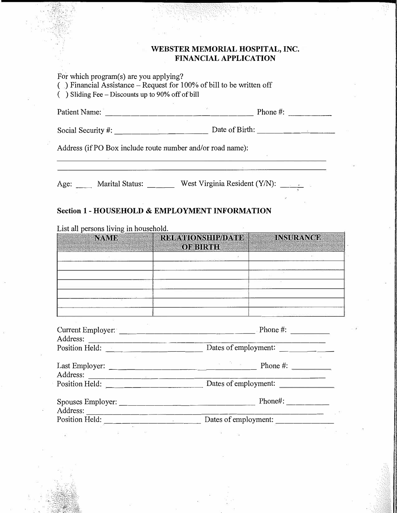#### **WEBSTER MEMORIAL HOSPITAL, INC. FINANCIAL APPLICATION**

For which program(s) are you applying?  $\binom{1}{x}$  Financial Assistance – Request for 100% of bill to be written off  $($ ) Sliding Fee – Discounts up to 90% off of bill Patient Name: ----------------- Phone#: ----- Social Security#: \_\_\_\_\_\_\_\_\_\_\_ Date of Birth: \_\_\_\_\_\_\_\_ \_ Address (if PO Box include route number and/or road name): Age: Marital Status: West Virginia Resident (Y/N):

#### **Section 1 - HOUSEHOLD & EMPLOYMENT INFORMATION**

**NAWIE** RELATIONSHP/DATE= **INSURANCE** OF BIRTHE AND THE Current Employer: \_\_\_\_\_\_\_\_\_\_\_\_\_\_\_ Phone#: Address: --------------------------- Position Held: \_\_\_\_\_\_\_\_\_\_\_ Dates of employment: \_ \_\_\_ \_ Last Employer: \_\_\_\_\_\_\_\_\_\_ \_\_\_\_\_\_ Phone #: Address: --------------------------- Position Held: \_\_\_\_\_\_\_\_\_\_\_ Dates of employment: Spouses Employer: \_\_\_\_\_\_\_\_\_\_\_\_\_\_\_ Phone#: \_\_\_\_ \_ Address: --------------------------- Position Held: \_\_\_\_\_\_\_\_\_\_\_ Dates of employment: \_\_\_\_\_\_ \_

List all persons living in household.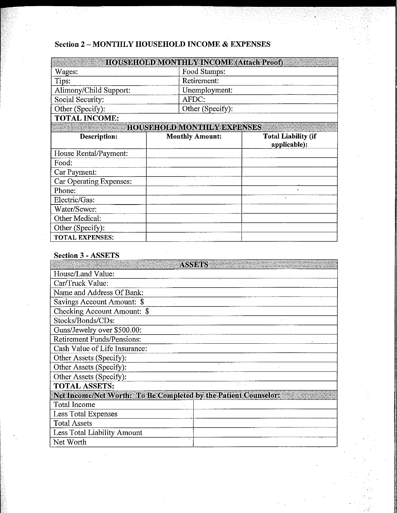# **Section 2-MONTHLY HOUSEHOLD INCOME & EXPENSES**

| <b>Excessive HOUSEHOLD MONTHLY INCOME (Attach Proof)</b> |                  |  |
|----------------------------------------------------------|------------------|--|
| Wages:                                                   | Food Stamps:     |  |
| Tips:                                                    | Retirement:      |  |
| Alimony/Child Support:                                   | Unemployment:    |  |
| Social Security:                                         | AFDC:            |  |
| $\vert$ Other (Specify):                                 | Other (Specify): |  |
| <b>MAT II INAAIR</b>                                     |                  |  |

**TOTAL INCOME:** 

**HOUSEHOED MONTHEY EXPENSES** 

| <b>Description:</b>     | <b>Monthly Amount:</b> | <b>Total Liability (if</b><br>applicable): |
|-------------------------|------------------------|--------------------------------------------|
| House Rental/Payment:   |                        |                                            |
| Food:                   |                        |                                            |
| Car Payment:            |                        |                                            |
| Car Operating Expenses: |                        |                                            |
| Phone:                  |                        | $\overline{a}$                             |
| Electric/Gas:           |                        |                                            |
| Water/Sewer:            |                        |                                            |
| Other Medical:          |                        |                                            |
| Other (Specify):        |                        |                                            |
| <b>TOTAL EXPENSES:</b>  |                        |                                            |

### **Section 3 - ASSETS**

| <b>ASSERS</b>                                                   |  |  |  |  |
|-----------------------------------------------------------------|--|--|--|--|
| House/Land Value:                                               |  |  |  |  |
| Car/Truck Value:                                                |  |  |  |  |
| Name and Address Of Bank:                                       |  |  |  |  |
| Savings Account Amount: \$                                      |  |  |  |  |
| Checking Account Amount: \$                                     |  |  |  |  |
| Stocks/Bonds/CDs:                                               |  |  |  |  |
| Guns/Jewelry over \$500.00:                                     |  |  |  |  |
| <b>Retirement Funds/Pensions:</b>                               |  |  |  |  |
| Cash Value of Life Insurance:                                   |  |  |  |  |
| Other Assets (Specify):                                         |  |  |  |  |
| Other Assets (Specify):                                         |  |  |  |  |
| Other Assets (Specify):                                         |  |  |  |  |
| <b>TOTAL ASSETS:</b>                                            |  |  |  |  |
| Net Income/Net Worth: To Be Completed by the Patient Counselor: |  |  |  |  |
| Total Income                                                    |  |  |  |  |
| Less Total Expenses                                             |  |  |  |  |
| <b>Total Assets</b>                                             |  |  |  |  |
| Less Total Liability Amount                                     |  |  |  |  |
| Net Worth                                                       |  |  |  |  |